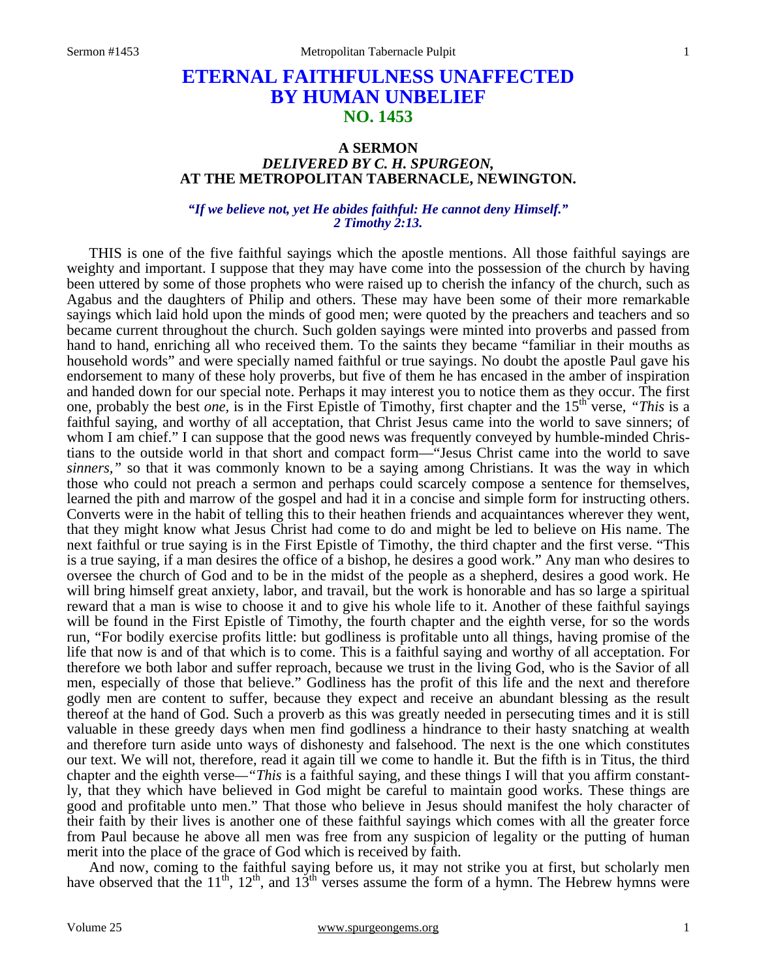# **ETERNAL FAITHFULNESS UNAFFECTED BY HUMAN UNBELIEF NO. 1453**

# **A SERMON**  *DELIVERED BY C. H. SPURGEON,*  **AT THE METROPOLITAN TABERNACLE, NEWINGTON.**

## *"If we believe not, yet He abides faithful: He cannot deny Himself." 2 Timothy 2:13.*

THIS is one of the five faithful sayings which the apostle mentions. All those faithful sayings are weighty and important. I suppose that they may have come into the possession of the church by having been uttered by some of those prophets who were raised up to cherish the infancy of the church, such as Agabus and the daughters of Philip and others. These may have been some of their more remarkable sayings which laid hold upon the minds of good men; were quoted by the preachers and teachers and so became current throughout the church. Such golden sayings were minted into proverbs and passed from hand to hand, enriching all who received them. To the saints they became "familiar in their mouths as household words" and were specially named faithful or true sayings. No doubt the apostle Paul gave his endorsement to many of these holy proverbs, but five of them he has encased in the amber of inspiration and handed down for our special note. Perhaps it may interest you to notice them as they occur. The first one, probably the best *one*, is in the First Epistle of Timothy, first chapter and the 15<sup>th</sup> verse, *"This* is a faithful saying, and worthy of all acceptation, that Christ Jesus came into the world to save sinners; of whom I am chief." I can suppose that the good news was frequently conveyed by humble-minded Christians to the outside world in that short and compact form—"Jesus Christ came into the world to save *sinners,"* so that it was commonly known to be a saying among Christians. It was the way in which those who could not preach a sermon and perhaps could scarcely compose a sentence for themselves, learned the pith and marrow of the gospel and had it in a concise and simple form for instructing others. Converts were in the habit of telling this to their heathen friends and acquaintances wherever they went, that they might know what Jesus Christ had come to do and might be led to believe on His name. The next faithful or true saying is in the First Epistle of Timothy, the third chapter and the first verse. "This is a true saying, if a man desires the office of a bishop, he desires a good work." Any man who desires to oversee the church of God and to be in the midst of the people as a shepherd, desires a good work. He will bring himself great anxiety, labor, and travail, but the work is honorable and has so large a spiritual reward that a man is wise to choose it and to give his whole life to it. Another of these faithful sayings will be found in the First Epistle of Timothy, the fourth chapter and the eighth verse, for so the words run, "For bodily exercise profits little: but godliness is profitable unto all things, having promise of the life that now is and of that which is to come. This is a faithful saying and worthy of all acceptation. For therefore we both labor and suffer reproach, because we trust in the living God, who is the Savior of all men, especially of those that believe." Godliness has the profit of this life and the next and therefore godly men are content to suffer, because they expect and receive an abundant blessing as the result thereof at the hand of God. Such a proverb as this was greatly needed in persecuting times and it is still valuable in these greedy days when men find godliness a hindrance to their hasty snatching at wealth and therefore turn aside unto ways of dishonesty and falsehood. The next is the one which constitutes our text. We will not, therefore, read it again till we come to handle it. But the fifth is in Titus, the third chapter and the eighth verse*—"This* is a faithful saying, and these things I will that you affirm constantly, that they which have believed in God might be careful to maintain good works. These things are good and profitable unto men." That those who believe in Jesus should manifest the holy character of their faith by their lives is another one of these faithful sayings which comes with all the greater force from Paul because he above all men was free from any suspicion of legality or the putting of human merit into the place of the grace of God which is received by faith.

 And now, coming to the faithful saying before us, it may not strike you at first, but scholarly men have observed that the 11<sup>th</sup>, 12<sup>th</sup>, and 13<sup>th</sup> verses assume the form of a hymn. The Hebrew hymns were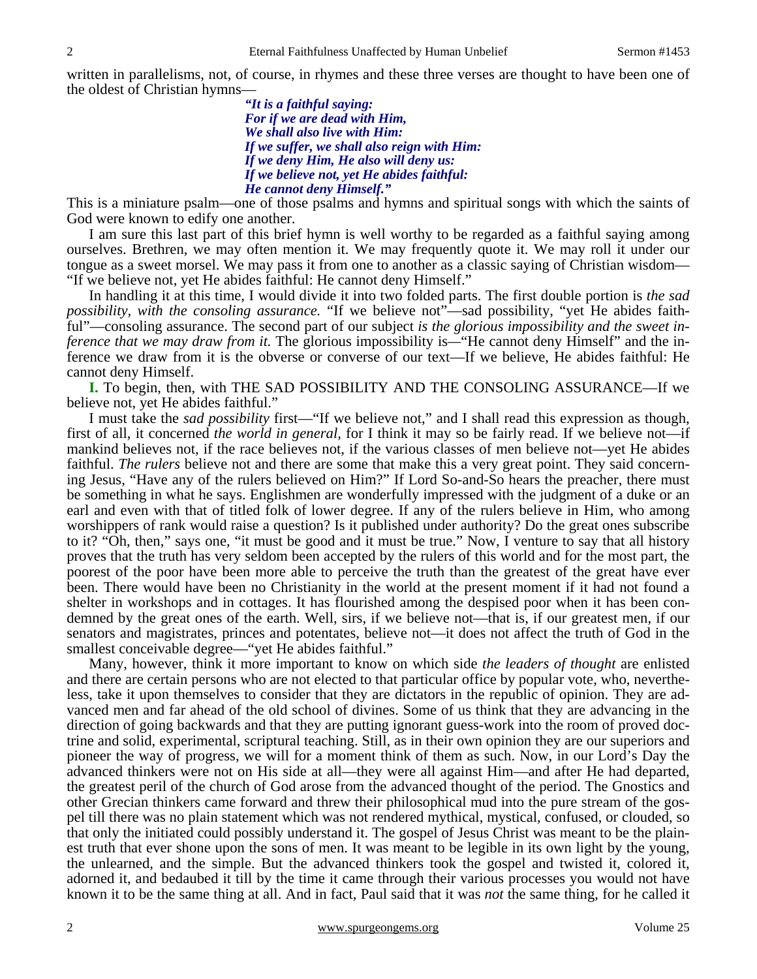written in parallelisms, not, of course, in rhymes and these three verses are thought to have been one of the oldest of Christian hymns—

> *"It is a faithful saying: For if we are dead with Him, We shall also live with Him: If we suffer, we shall also reign with Him: If we deny Him, He also will deny us: If we believe not, yet He abides faithful: He cannot deny Himself."*

This is a miniature psalm—one of those psalms and hymns and spiritual songs with which the saints of God were known to edify one another.

 I am sure this last part of this brief hymn is well worthy to be regarded as a faithful saying among ourselves. Brethren, we may often mention it. We may frequently quote it. We may roll it under our tongue as a sweet morsel. We may pass it from one to another as a classic saying of Christian wisdom— "If we believe not, yet He abides faithful: He cannot deny Himself."

 In handling it at this time, I would divide it into two folded parts. The first double portion is *the sad possibility, with the consoling assurance.* "If we believe not"—sad possibility, "yet He abides faithful"—consoling assurance. The second part of our subject *is the glorious impossibility and the sweet inference that we may draw from it.* The glorious impossibility is—"He cannot deny Himself" and the inference we draw from it is the obverse or converse of our text—If we believe, He abides faithful: He cannot deny Himself.

**I.** To begin, then, with THE SAD POSSIBILITY AND THE CONSOLING ASSURANCE—If we believe not, yet He abides faithful."

 I must take the *sad possibility* first—"If we believe not," and I shall read this expression as though, first of all, it concerned *the world in general,* for I think it may so be fairly read. If we believe not—if mankind believes not, if the race believes not, if the various classes of men believe not—yet He abides faithful. *The rulers* believe not and there are some that make this a very great point. They said concerning Jesus, "Have any of the rulers believed on Him?" If Lord So-and-So hears the preacher, there must be something in what he says. Englishmen are wonderfully impressed with the judgment of a duke or an earl and even with that of titled folk of lower degree. If any of the rulers believe in Him, who among worshippers of rank would raise a question? Is it published under authority? Do the great ones subscribe to it? "Oh, then," says one, "it must be good and it must be true." Now, I venture to say that all history proves that the truth has very seldom been accepted by the rulers of this world and for the most part, the poorest of the poor have been more able to perceive the truth than the greatest of the great have ever been. There would have been no Christianity in the world at the present moment if it had not found a shelter in workshops and in cottages. It has flourished among the despised poor when it has been condemned by the great ones of the earth. Well, sirs, if we believe not—that is, if our greatest men, if our senators and magistrates, princes and potentates, believe not—it does not affect the truth of God in the smallest conceivable degree—"yet He abides faithful."

 Many, however, think it more important to know on which side *the leaders of thought* are enlisted and there are certain persons who are not elected to that particular office by popular vote, who, nevertheless, take it upon themselves to consider that they are dictators in the republic of opinion. They are advanced men and far ahead of the old school of divines. Some of us think that they are advancing in the direction of going backwards and that they are putting ignorant guess-work into the room of proved doctrine and solid, experimental, scriptural teaching. Still, as in their own opinion they are our superiors and pioneer the way of progress, we will for a moment think of them as such. Now, in our Lord's Day the advanced thinkers were not on His side at all—they were all against Him—and after He had departed, the greatest peril of the church of God arose from the advanced thought of the period. The Gnostics and other Grecian thinkers came forward and threw their philosophical mud into the pure stream of the gospel till there was no plain statement which was not rendered mythical, mystical, confused, or clouded, so that only the initiated could possibly understand it. The gospel of Jesus Christ was meant to be the plainest truth that ever shone upon the sons of men. It was meant to be legible in its own light by the young, the unlearned, and the simple. But the advanced thinkers took the gospel and twisted it, colored it, adorned it, and bedaubed it till by the time it came through their various processes you would not have known it to be the same thing at all. And in fact, Paul said that it was *not* the same thing, for he called it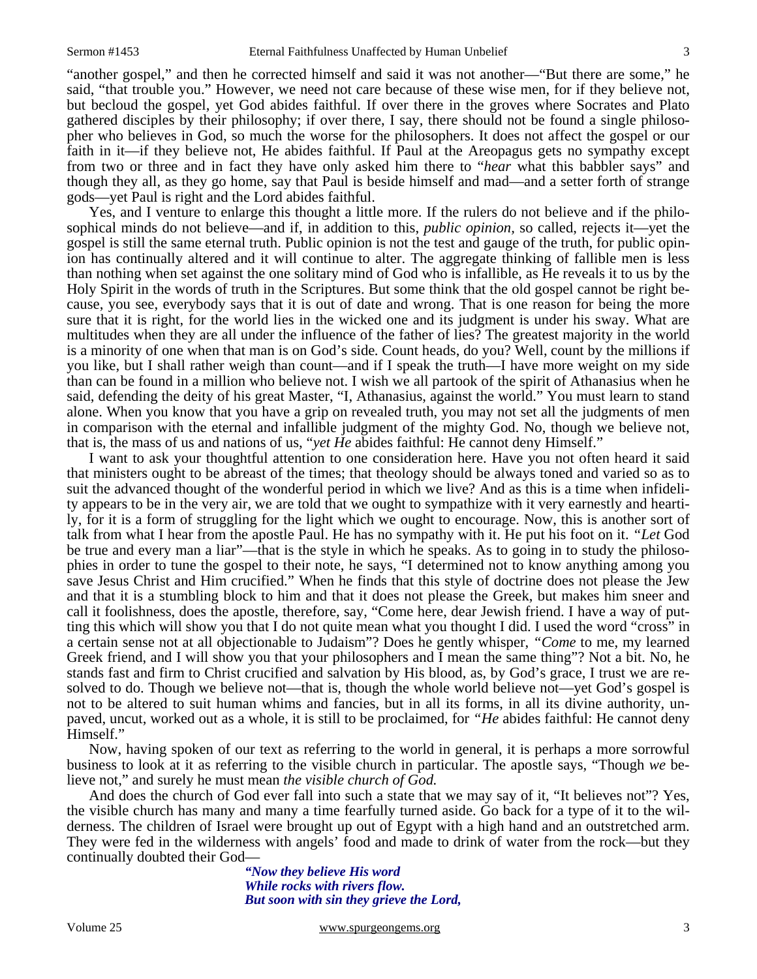"another gospel," and then he corrected himself and said it was not another—"But there are some," he said, "that trouble you." However, we need not care because of these wise men, for if they believe not, but becloud the gospel, yet God abides faithful. If over there in the groves where Socrates and Plato gathered disciples by their philosophy; if over there, I say, there should not be found a single philosopher who believes in God, so much the worse for the philosophers. It does not affect the gospel or our faith in it—if they believe not, He abides faithful. If Paul at the Areopagus gets no sympathy except from two or three and in fact they have only asked him there to "*hear* what this babbler says" and though they all, as they go home, say that Paul is beside himself and mad—and a setter forth of strange gods—yet Paul is right and the Lord abides faithful.

 Yes, and I venture to enlarge this thought a little more. If the rulers do not believe and if the philosophical minds do not believe—and if, in addition to this, *public opinion,* so called, rejects it—yet the gospel is still the same eternal truth. Public opinion is not the test and gauge of the truth, for public opinion has continually altered and it will continue to alter. The aggregate thinking of fallible men is less than nothing when set against the one solitary mind of God who is infallible, as He reveals it to us by the Holy Spirit in the words of truth in the Scriptures. But some think that the old gospel cannot be right because, you see, everybody says that it is out of date and wrong. That is one reason for being the more sure that it is right, for the world lies in the wicked one and its judgment is under his sway. What are multitudes when they are all under the influence of the father of lies? The greatest majority in the world is a minority of one when that man is on God's side. Count heads, do you? Well, count by the millions if you like, but I shall rather weigh than count—and if I speak the truth—I have more weight on my side than can be found in a million who believe not. I wish we all partook of the spirit of Athanasius when he said, defending the deity of his great Master, "I, Athanasius, against the world." You must learn to stand alone. When you know that you have a grip on revealed truth, you may not set all the judgments of men in comparison with the eternal and infallible judgment of the mighty God. No, though we believe not, that is, the mass of us and nations of us, "*yet He* abides faithful: He cannot deny Himself."

 I want to ask your thoughtful attention to one consideration here. Have you not often heard it said that ministers ought to be abreast of the times; that theology should be always toned and varied so as to suit the advanced thought of the wonderful period in which we live? And as this is a time when infidelity appears to be in the very air, we are told that we ought to sympathize with it very earnestly and heartily, for it is a form of struggling for the light which we ought to encourage. Now, this is another sort of talk from what I hear from the apostle Paul. He has no sympathy with it. He put his foot on it. *"Let* God be true and every man a liar"—that is the style in which he speaks. As to going in to study the philosophies in order to tune the gospel to their note, he says, "I determined not to know anything among you save Jesus Christ and Him crucified." When he finds that this style of doctrine does not please the Jew and that it is a stumbling block to him and that it does not please the Greek, but makes him sneer and call it foolishness, does the apostle, therefore, say, "Come here, dear Jewish friend. I have a way of putting this which will show you that I do not quite mean what you thought I did. I used the word "cross" in a certain sense not at all objectionable to Judaism"? Does he gently whisper, *"Come* to me, my learned Greek friend, and I will show you that your philosophers and I mean the same thing"? Not a bit. No, he stands fast and firm to Christ crucified and salvation by His blood, as, by God's grace, I trust we are resolved to do. Though we believe not—that is, though the whole world believe not—yet God's gospel is not to be altered to suit human whims and fancies, but in all its forms, in all its divine authority, unpaved, uncut, worked out as a whole, it is still to be proclaimed, for *"He* abides faithful: He cannot deny Himself."

 Now, having spoken of our text as referring to the world in general, it is perhaps a more sorrowful business to look at it as referring to the visible church in particular. The apostle says, "Though *we* believe not," and surely he must mean *the visible church of God.* 

And does the church of God ever fall into such a state that we may say of it, "It believes not"? Yes, the visible church has many and many a time fearfully turned aside. Go back for a type of it to the wilderness. The children of Israel were brought up out of Egypt with a high hand and an outstretched arm. They were fed in the wilderness with angels' food and made to drink of water from the rock—but they continually doubted their God—

*"Now they believe His word While rocks with rivers flow. But soon with sin they grieve the Lord,*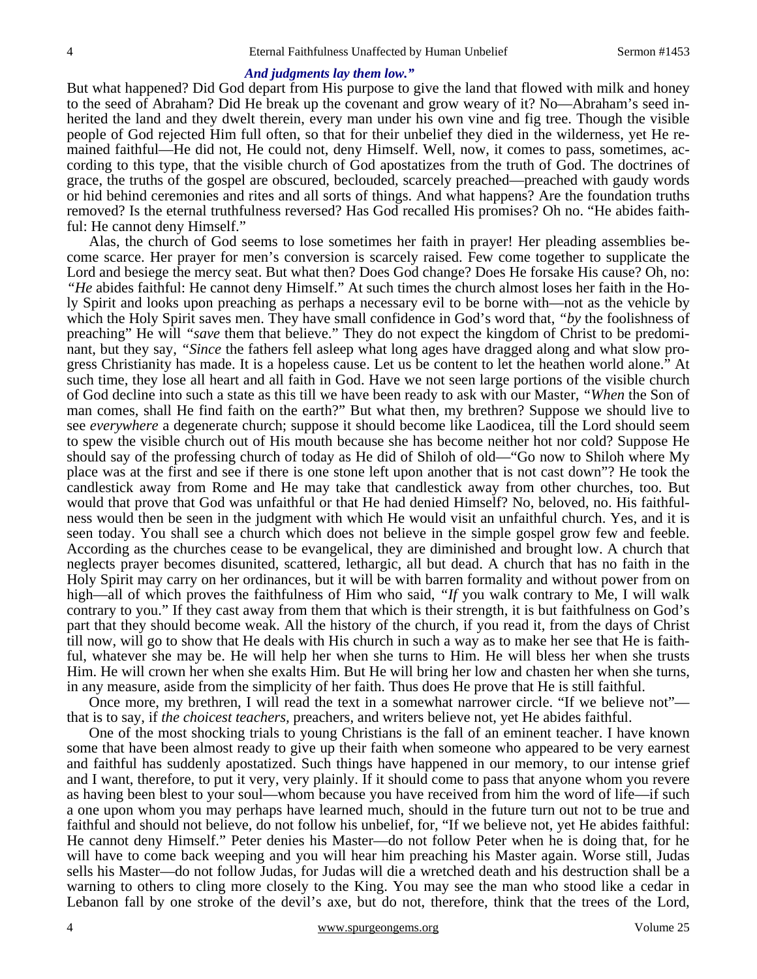#### *And judgments lay them low."*

But what happened? Did God depart from His purpose to give the land that flowed with milk and honey to the seed of Abraham? Did He break up the covenant and grow weary of it? No—Abraham's seed inherited the land and they dwelt therein, every man under his own vine and fig tree. Though the visible people of God rejected Him full often, so that for their unbelief they died in the wilderness, yet He remained faithful—He did not, He could not, deny Himself. Well, now, it comes to pass, sometimes, according to this type, that the visible church of God apostatizes from the truth of God. The doctrines of grace, the truths of the gospel are obscured, beclouded, scarcely preached—preached with gaudy words or hid behind ceremonies and rites and all sorts of things. And what happens? Are the foundation truths removed? Is the eternal truthfulness reversed? Has God recalled His promises? Oh no. "He abides faithful: He cannot deny Himself."

 Alas, the church of God seems to lose sometimes her faith in prayer! Her pleading assemblies become scarce. Her prayer for men's conversion is scarcely raised. Few come together to supplicate the Lord and besiege the mercy seat. But what then? Does God change? Does He forsake His cause? Oh, no: *"He* abides faithful: He cannot deny Himself." At such times the church almost loses her faith in the Holy Spirit and looks upon preaching as perhaps a necessary evil to be borne with—not as the vehicle by which the Holy Spirit saves men. They have small confidence in God's word that, *"by* the foolishness of preaching" He will *"save* them that believe." They do not expect the kingdom of Christ to be predominant, but they say, *"Since* the fathers fell asleep what long ages have dragged along and what slow progress Christianity has made. It is a hopeless cause. Let us be content to let the heathen world alone." At such time, they lose all heart and all faith in God. Have we not seen large portions of the visible church of God decline into such a state as this till we have been ready to ask with our Master, *"When* the Son of man comes, shall He find faith on the earth?" But what then, my brethren? Suppose we should live to see *everywhere* a degenerate church; suppose it should become like Laodicea, till the Lord should seem to spew the visible church out of His mouth because she has become neither hot nor cold? Suppose He should say of the professing church of today as He did of Shiloh of old—"Go now to Shiloh where My place was at the first and see if there is one stone left upon another that is not cast down"? He took the candlestick away from Rome and He may take that candlestick away from other churches, too. But would that prove that God was unfaithful or that He had denied Himself? No, beloved, no. His faithfulness would then be seen in the judgment with which He would visit an unfaithful church. Yes, and it is seen today. You shall see a church which does not believe in the simple gospel grow few and feeble. According as the churches cease to be evangelical, they are diminished and brought low. A church that neglects prayer becomes disunited, scattered, lethargic, all but dead. A church that has no faith in the Holy Spirit may carry on her ordinances, but it will be with barren formality and without power from on high—all of which proves the faithfulness of Him who said, "If you walk contrary to Me, I will walk contrary to you." If they cast away from them that which is their strength, it is but faithfulness on God's part that they should become weak. All the history of the church, if you read it, from the days of Christ till now, will go to show that He deals with His church in such a way as to make her see that He is faithful, whatever she may be. He will help her when she turns to Him. He will bless her when she trusts Him. He will crown her when she exalts Him. But He will bring her low and chasten her when she turns, in any measure, aside from the simplicity of her faith. Thus does He prove that He is still faithful.

 Once more, my brethren, I will read the text in a somewhat narrower circle. "If we believe not" that is to say, if *the choicest teachers,* preachers, and writers believe not, yet He abides faithful.

 One of the most shocking trials to young Christians is the fall of an eminent teacher. I have known some that have been almost ready to give up their faith when someone who appeared to be very earnest and faithful has suddenly apostatized. Such things have happened in our memory, to our intense grief and I want, therefore, to put it very, very plainly. If it should come to pass that anyone whom you revere as having been blest to your soul—whom because you have received from him the word of life—if such a one upon whom you may perhaps have learned much, should in the future turn out not to be true and faithful and should not believe, do not follow his unbelief, for, "If we believe not, yet He abides faithful: He cannot deny Himself." Peter denies his Master—do not follow Peter when he is doing that, for he will have to come back weeping and you will hear him preaching his Master again. Worse still, Judas sells his Master—do not follow Judas, for Judas will die a wretched death and his destruction shall be a warning to others to cling more closely to the King. You may see the man who stood like a cedar in Lebanon fall by one stroke of the devil's axe, but do not, therefore, think that the trees of the Lord,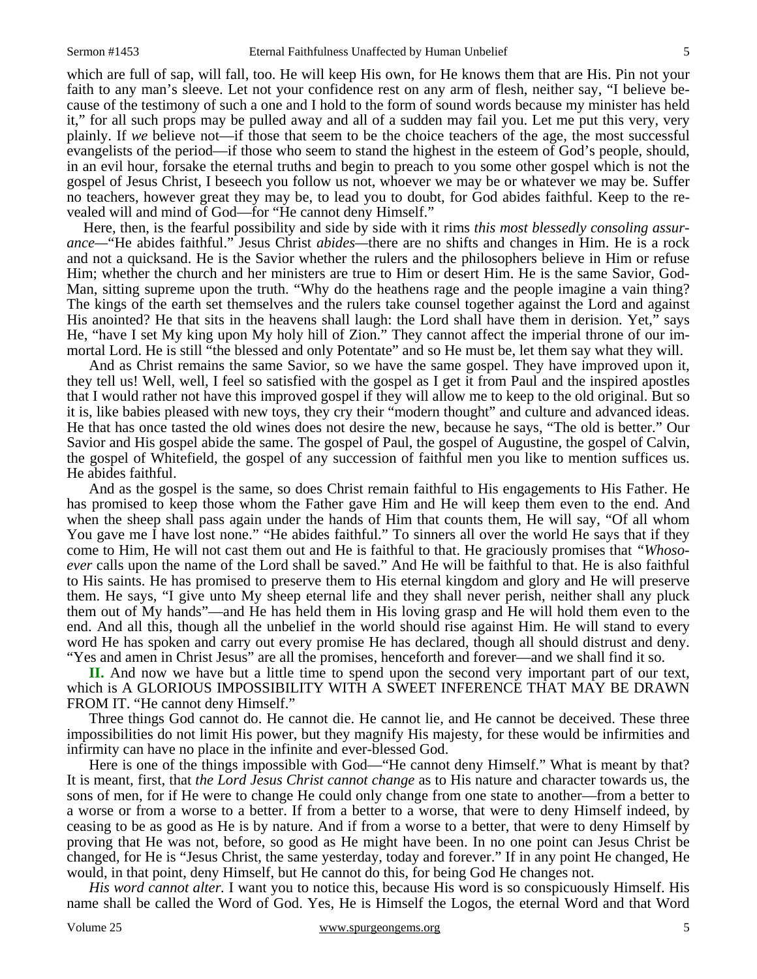which are full of sap, will fall, too. He will keep His own, for He knows them that are His. Pin not your faith to any man's sleeve. Let not your confidence rest on any arm of flesh, neither say, "I believe because of the testimony of such a one and I hold to the form of sound words because my minister has held it," for all such props may be pulled away and all of a sudden may fail you. Let me put this very, very plainly. If *we* believe not—if those that seem to be the choice teachers of the age, the most successful evangelists of the period—if those who seem to stand the highest in the esteem of God's people, should, in an evil hour, forsake the eternal truths and begin to preach to you some other gospel which is not the gospel of Jesus Christ, I beseech you follow us not, whoever we may be or whatever we may be. Suffer no teachers, however great they may be, to lead you to doubt, for God abides faithful. Keep to the revealed will and mind of God—for "He cannot deny Himself."

 Here, then, is the fearful possibility and side by side with it rims *this most blessedly consoling assurance—*"He abides faithful." Jesus Christ *abides—*there are no shifts and changes in Him. He is a rock and not a quicksand. He is the Savior whether the rulers and the philosophers believe in Him or refuse Him; whether the church and her ministers are true to Him or desert Him. He is the same Savior, God-Man, sitting supreme upon the truth. "Why do the heathens rage and the people imagine a vain thing? The kings of the earth set themselves and the rulers take counsel together against the Lord and against His anointed? He that sits in the heavens shall laugh: the Lord shall have them in derision. Yet," says He, "have I set My king upon My holy hill of Zion." They cannot affect the imperial throne of our immortal Lord. He is still "the blessed and only Potentate" and so He must be, let them say what they will.

 And as Christ remains the same Savior, so we have the same gospel. They have improved upon it, they tell us! Well, well, I feel so satisfied with the gospel as I get it from Paul and the inspired apostles that I would rather not have this improved gospel if they will allow me to keep to the old original. But so it is, like babies pleased with new toys, they cry their "modern thought" and culture and advanced ideas. He that has once tasted the old wines does not desire the new, because he says, "The old is better." Our Savior and His gospel abide the same. The gospel of Paul, the gospel of Augustine, the gospel of Calvin, the gospel of Whitefield, the gospel of any succession of faithful men you like to mention suffices us. He abides faithful.

 And as the gospel is the same, so does Christ remain faithful to His engagements to His Father. He has promised to keep those whom the Father gave Him and He will keep them even to the end. And when the sheep shall pass again under the hands of Him that counts them, He will say, "Of all whom You gave me I have lost none." "He abides faithful." To sinners all over the world He says that if they come to Him, He will not cast them out and He is faithful to that. He graciously promises that *"Whosoever* calls upon the name of the Lord shall be saved." And He will be faithful to that. He is also faithful to His saints. He has promised to preserve them to His eternal kingdom and glory and He will preserve them. He says, "I give unto My sheep eternal life and they shall never perish, neither shall any pluck them out of My hands"—and He has held them in His loving grasp and He will hold them even to the end. And all this, though all the unbelief in the world should rise against Him. He will stand to every word He has spoken and carry out every promise He has declared, though all should distrust and deny. "Yes and amen in Christ Jesus" are all the promises, henceforth and forever—and we shall find it so.

**II.** And now we have but a little time to spend upon the second very important part of our text, which is A GLORIOUS IMPOSSIBILITY WITH A SWEET INFERENCE THAT MAY BE DRAWN FROM IT. "He cannot deny Himself."

 Three things God cannot do. He cannot die. He cannot lie, and He cannot be deceived. These three impossibilities do not limit His power, but they magnify His majesty, for these would be infirmities and infirmity can have no place in the infinite and ever-blessed God.

 Here is one of the things impossible with God—"He cannot deny Himself." What is meant by that? It is meant, first, that *the Lord Jesus Christ cannot change* as to His nature and character towards us, the sons of men, for if He were to change He could only change from one state to another—from a better to a worse or from a worse to a better. If from a better to a worse, that were to deny Himself indeed, by ceasing to be as good as He is by nature. And if from a worse to a better, that were to deny Himself by proving that He was not, before, so good as He might have been. In no one point can Jesus Christ be changed, for He is "Jesus Christ, the same yesterday, today and forever." If in any point He changed, He would, in that point, deny Himself, but He cannot do this, for being God He changes not.

*His word cannot alter.* I want you to notice this, because His word is so conspicuously Himself. His name shall be called the Word of God. Yes, He is Himself the Logos, the eternal Word and that Word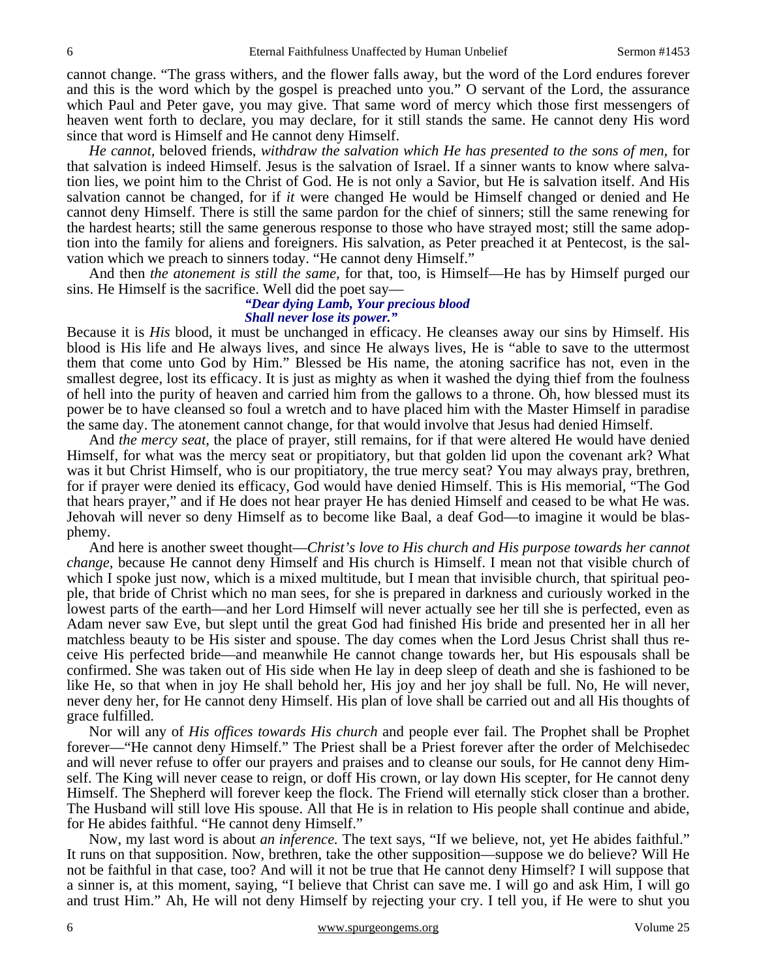cannot change. "The grass withers, and the flower falls away, but the word of the Lord endures forever and this is the word which by the gospel is preached unto you." O servant of the Lord, the assurance which Paul and Peter gave, you may give. That same word of mercy which those first messengers of heaven went forth to declare, you may declare, for it still stands the same. He cannot deny His word since that word is Himself and He cannot deny Himself.

*He cannot,* beloved friends, *withdraw the salvation which He has presented to the sons of men,* for that salvation is indeed Himself. Jesus is the salvation of Israel. If a sinner wants to know where salvation lies, we point him to the Christ of God. He is not only a Savior, but He is salvation itself. And His salvation cannot be changed, for if *it* were changed He would be Himself changed or denied and He cannot deny Himself. There is still the same pardon for the chief of sinners; still the same renewing for the hardest hearts; still the same generous response to those who have strayed most; still the same adoption into the family for aliens and foreigners. His salvation, as Peter preached it at Pentecost, is the salvation which we preach to sinners today. "He cannot deny Himself."

 And then *the atonement is still the same,* for that, too, is Himself—He has by Himself purged our sins. He Himself is the sacrifice. Well did the poet say—

#### *"Dear dying Lamb, Your precious blood Shall never lose its power."*

Because it is *His* blood, it must be unchanged in efficacy. He cleanses away our sins by Himself. His blood is His life and He always lives, and since He always lives, He is "able to save to the uttermost them that come unto God by Him." Blessed be His name, the atoning sacrifice has not, even in the smallest degree, lost its efficacy. It is just as mighty as when it washed the dying thief from the foulness of hell into the purity of heaven and carried him from the gallows to a throne. Oh, how blessed must its power be to have cleansed so foul a wretch and to have placed him with the Master Himself in paradise the same day. The atonement cannot change, for that would involve that Jesus had denied Himself.

 And *the mercy seat,* the place of prayer, still remains, for if that were altered He would have denied Himself, for what was the mercy seat or propitiatory, but that golden lid upon the covenant ark? What was it but Christ Himself, who is our propitiatory, the true mercy seat? You may always pray, brethren, for if prayer were denied its efficacy, God would have denied Himself. This is His memorial, "The God that hears prayer," and if He does not hear prayer He has denied Himself and ceased to be what He was. Jehovah will never so deny Himself as to become like Baal, a deaf God—to imagine it would be blasphemy.

 And here is another sweet thought—*Christ's love to His church and His purpose towards her cannot change,* because He cannot deny Himself and His church is Himself. I mean not that visible church of which I spoke just now, which is a mixed multitude, but I mean that invisible church, that spiritual people, that bride of Christ which no man sees, for she is prepared in darkness and curiously worked in the lowest parts of the earth—and her Lord Himself will never actually see her till she is perfected, even as Adam never saw Eve, but slept until the great God had finished His bride and presented her in all her matchless beauty to be His sister and spouse. The day comes when the Lord Jesus Christ shall thus receive His perfected bride—and meanwhile He cannot change towards her, but His espousals shall be confirmed. She was taken out of His side when He lay in deep sleep of death and she is fashioned to be like He, so that when in joy He shall behold her, His joy and her joy shall be full. No, He will never, never deny her, for He cannot deny Himself. His plan of love shall be carried out and all His thoughts of grace fulfilled.

 Nor will any of *His offices towards His church* and people ever fail. The Prophet shall be Prophet forever—"He cannot deny Himself." The Priest shall be a Priest forever after the order of Melchisedec and will never refuse to offer our prayers and praises and to cleanse our souls, for He cannot deny Himself. The King will never cease to reign, or doff His crown, or lay down His scepter, for He cannot deny Himself. The Shepherd will forever keep the flock. The Friend will eternally stick closer than a brother. The Husband will still love His spouse. All that He is in relation to His people shall continue and abide, for He abides faithful. "He cannot deny Himself."

 Now, my last word is about *an inference.* The text says, "If we believe, not, yet He abides faithful." It runs on that supposition. Now, brethren, take the other supposition—suppose we do believe? Will He not be faithful in that case, too? And will it not be true that He cannot deny Himself? I will suppose that a sinner is, at this moment, saying, "I believe that Christ can save me. I will go and ask Him, I will go and trust Him." Ah, He will not deny Himself by rejecting your cry. I tell you, if He were to shut you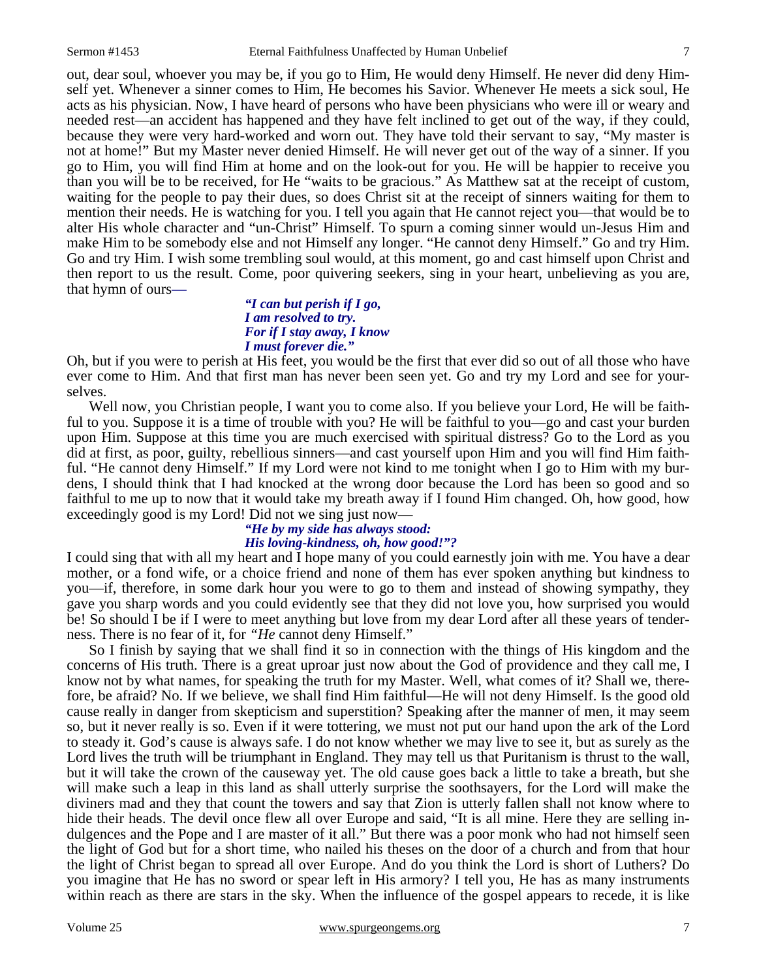out, dear soul, whoever you may be, if you go to Him, He would deny Himself. He never did deny Himself yet. Whenever a sinner comes to Him, He becomes his Savior. Whenever He meets a sick soul, He acts as his physician. Now, I have heard of persons who have been physicians who were ill or weary and needed rest—an accident has happened and they have felt inclined to get out of the way, if they could, because they were very hard-worked and worn out. They have told their servant to say, "My master is not at home!" But my Master never denied Himself. He will never get out of the way of a sinner. If you go to Him, you will find Him at home and on the look-out for you. He will be happier to receive you than you will be to be received, for He "waits to be gracious." As Matthew sat at the receipt of custom, waiting for the people to pay their dues, so does Christ sit at the receipt of sinners waiting for them to mention their needs. He is watching for you. I tell you again that He cannot reject you—that would be to alter His whole character and "un-Christ" Himself. To spurn a coming sinner would un-Jesus Him and make Him to be somebody else and not Himself any longer. "He cannot deny Himself." Go and try Him. Go and try Him. I wish some trembling soul would, at this moment, go and cast himself upon Christ and then report to us the result. Come, poor quivering seekers, sing in your heart, unbelieving as you are, that hymn of ours*—*

#### *"I can but perish if I go, I am resolved to try. For if I stay away, I know I must forever die."*

Oh, but if you were to perish at His feet, you would be the first that ever did so out of all those who have ever come to Him. And that first man has never been seen yet. Go and try my Lord and see for yourselves.

 Well now, you Christian people, I want you to come also. If you believe your Lord, He will be faithful to you. Suppose it is a time of trouble with you? He will be faithful to you—go and cast your burden upon Him. Suppose at this time you are much exercised with spiritual distress? Go to the Lord as you did at first, as poor, guilty, rebellious sinners—and cast yourself upon Him and you will find Him faithful. "He cannot deny Himself." If my Lord were not kind to me tonight when I go to Him with my burdens, I should think that I had knocked at the wrong door because the Lord has been so good and so faithful to me up to now that it would take my breath away if I found Him changed. Oh, how good, how exceedingly good is my Lord! Did not we sing just now—

# *"He by my side has always stood: His loving-kindness, oh, how good!"?*

I could sing that with all my heart and I hope many of you could earnestly join with me. You have a dear mother, or a fond wife, or a choice friend and none of them has ever spoken anything but kindness to you—if, therefore, in some dark hour you were to go to them and instead of showing sympathy, they gave you sharp words and you could evidently see that they did not love you, how surprised you would be! So should I be if I were to meet anything but love from my dear Lord after all these years of tenderness. There is no fear of it, for *"He* cannot deny Himself."

 So I finish by saying that we shall find it so in connection with the things of His kingdom and the concerns of His truth. There is a great uproar just now about the God of providence and they call me, I know not by what names, for speaking the truth for my Master. Well, what comes of it? Shall we, therefore, be afraid? No. If we believe, we shall find Him faithful—He will not deny Himself. Is the good old cause really in danger from skepticism and superstition? Speaking after the manner of men, it may seem so, but it never really is so. Even if it were tottering, we must not put our hand upon the ark of the Lord to steady it. God's cause is always safe. I do not know whether we may live to see it, but as surely as the Lord lives the truth will be triumphant in England. They may tell us that Puritanism is thrust to the wall, but it will take the crown of the causeway yet. The old cause goes back a little to take a breath, but she will make such a leap in this land as shall utterly surprise the soothsayers, for the Lord will make the diviners mad and they that count the towers and say that Zion is utterly fallen shall not know where to hide their heads. The devil once flew all over Europe and said, "It is all mine. Here they are selling indulgences and the Pope and I are master of it all." But there was a poor monk who had not himself seen the light of God but for a short time, who nailed his theses on the door of a church and from that hour the light of Christ began to spread all over Europe. And do you think the Lord is short of Luthers? Do you imagine that He has no sword or spear left in His armory? I tell you, He has as many instruments within reach as there are stars in the sky. When the influence of the gospel appears to recede, it is like